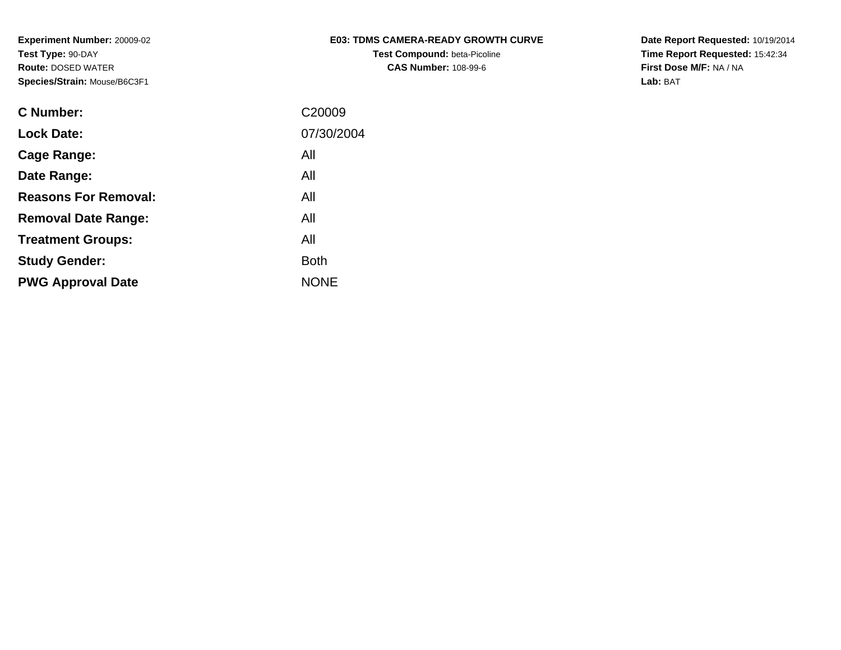| <b>E03: TDMS CAMERA-READY GROWTH CURVE</b> |  |
|--------------------------------------------|--|
| <b>Test Compound: beta-Picoline</b>        |  |

**CAS Number:** 108-99-6

**Date Report Requested:** 10/19/2014 **Time Report Requested:** 15:42:34**First Dose M/F:** NA / NA**Lab:** BAT

| <b>C</b> Number:            | C <sub>20009</sub> |
|-----------------------------|--------------------|
| <b>Lock Date:</b>           | 07/30/2004         |
| Cage Range:                 | All                |
| Date Range:                 | All                |
| <b>Reasons For Removal:</b> | All                |
| <b>Removal Date Range:</b>  | All                |
| <b>Treatment Groups:</b>    | All                |
| <b>Study Gender:</b>        | <b>Both</b>        |
| <b>PWG Approval Date</b>    | <b>NONE</b>        |
|                             |                    |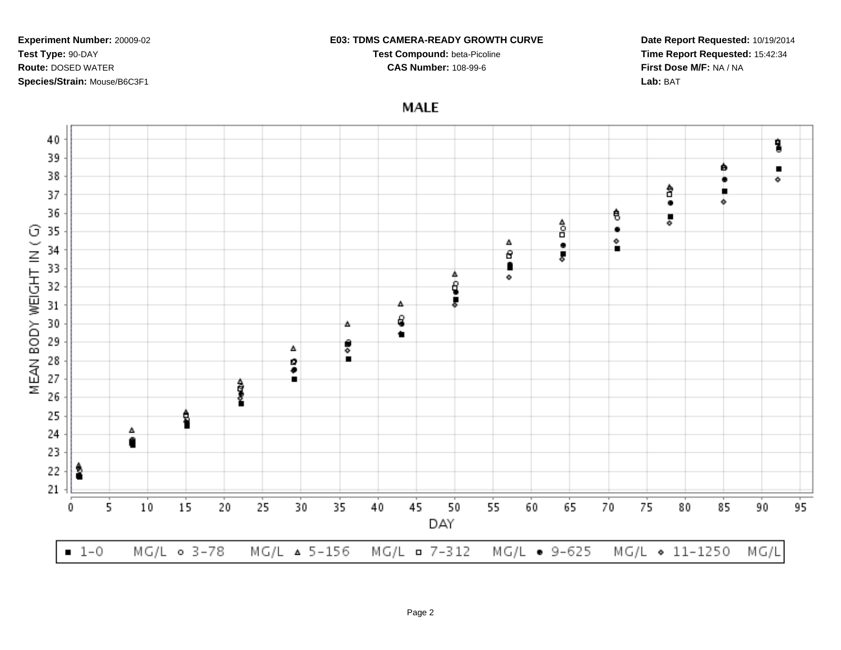### **E03: TDMS CAMERA-READY GROWTH CURVE**

**Test Compound:** beta-Picoline**CAS Number:** 108-99-6

**Date Report Requested:** 10/19/2014**Time Report Requested:** 15:42:34**First Dose M/F:** NA / NA**Lab:** BAT

**MALE** 

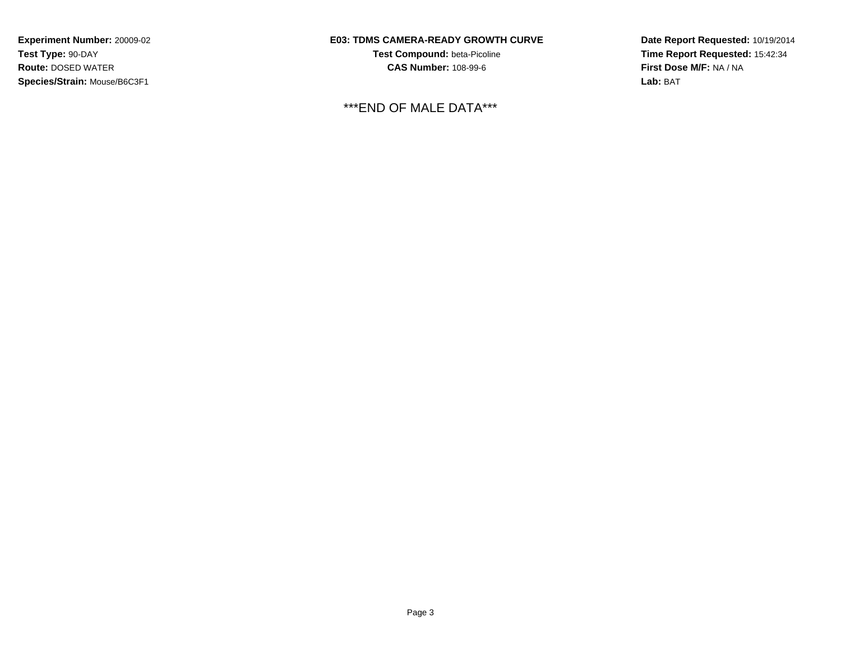## **E03: TDMS CAMERA-READY GROWTH CURVE**

**Test Compound:** beta-Picoline**CAS Number:** 108-99-6

\*\*\*END OF MALE DATA\*\*\*

**Date Report Requested:** 10/19/2014**Time Report Requested:** 15:42:34**First Dose M/F:** NA / NA**Lab:** BAT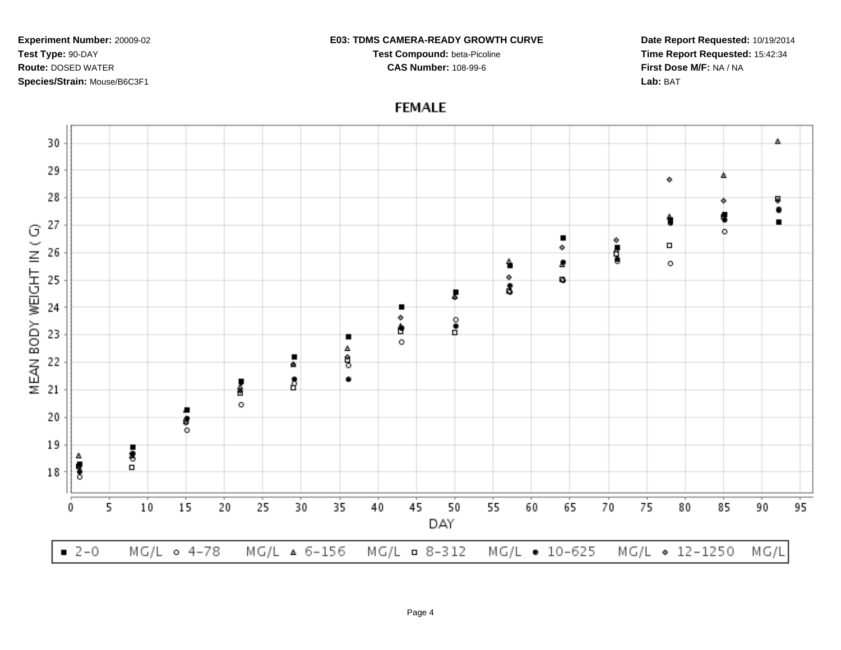#### **E03: TDMS CAMERA-READY GROWTH CURVE**

**Test Compound:** beta-Picoline**CAS Number:** 108-99-6

**Date Report Requested:** 10/19/2014**Time Report Requested:** 15:42:34**First Dose M/F:** NA / NA**Lab:** BAT

# **FEMALE**